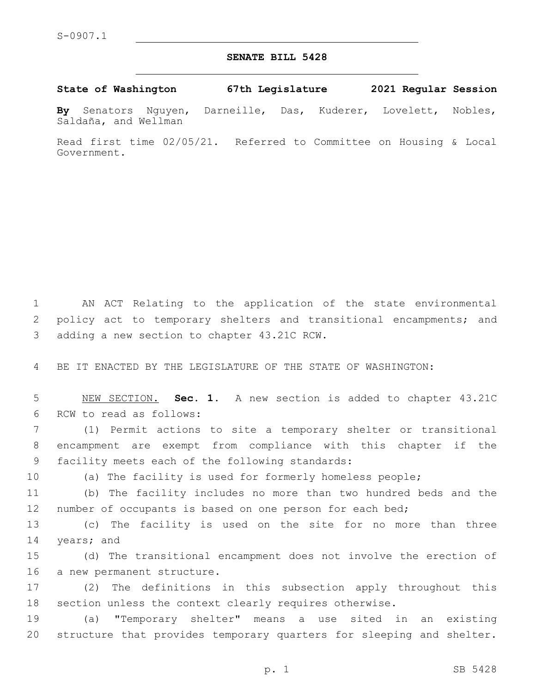## **SENATE BILL 5428**

**State of Washington 67th Legislature 2021 Regular Session**

**By** Senators Nguyen, Darneille, Das, Kuderer, Lovelett, Nobles, Saldaña, and Wellman

Read first time 02/05/21. Referred to Committee on Housing & Local Government.

1 AN ACT Relating to the application of the state environmental 2 policy act to temporary shelters and transitional encampments; and 3 adding a new section to chapter 43.21C RCW.

4 BE IT ENACTED BY THE LEGISLATURE OF THE STATE OF WASHINGTON:

5 NEW SECTION. **Sec. 1.** A new section is added to chapter 43.21C 6 RCW to read as follows:

7 (1) Permit actions to site a temporary shelter or transitional 8 encampment are exempt from compliance with this chapter if the 9 facility meets each of the following standards:

10 (a) The facility is used for formerly homeless people;

11 (b) The facility includes no more than two hundred beds and the 12 number of occupants is based on one person for each bed;

13 (c) The facility is used on the site for no more than three 14 years; and

15 (d) The transitional encampment does not involve the erection of 16 a new permanent structure.

17 (2) The definitions in this subsection apply throughout this 18 section unless the context clearly requires otherwise.

19 (a) "Temporary shelter" means a use sited in an existing 20 structure that provides temporary quarters for sleeping and shelter.